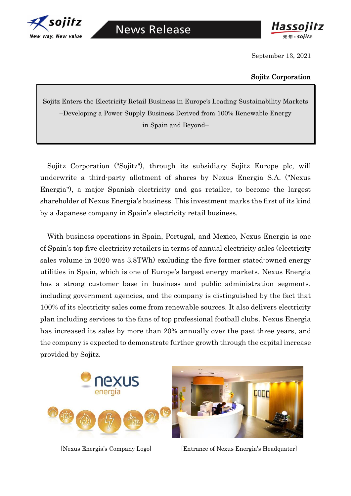



September 13, 2021

## Sojitz Corporation

Sojitz Enters the Electricity Retail Business in Europe's Leading Sustainability Markets –Developing a Power Supply Business Derived from 100% Renewable Energy in Spain and Beyond–

Sojitz Corporation ("Sojitz"), through its subsidiary Sojitz Europe plc, will underwrite a third-party allotment of shares by Nexus Energia S.A. ("Nexus Energia"), a major Spanish electricity and gas retailer, to become the largest shareholder of Nexus Energia's business. This investment marks the first of its kind by a Japanese company in Spain's electricity retail business.

With business operations in Spain, Portugal, and Mexico, Nexus Energia is one of Spain's top five electricity retailers in terms of annual electricity sales (electricity sales volume in 2020 was 3.8TWh) excluding the five former stated-owned energy utilities in Spain, which is one of Europe's largest energy markets. Nexus Energia has a strong customer base in business and public administration segments, including government agencies, and the company is distinguished by the fact that 100% of its electricity sales come from renewable sources. It also delivers electricity plan including services to the fans of top professional football clubs. Nexus Energia has increased its sales by more than 20% annually over the past three years, and the company is expected to demonstrate further growth through the capital increase provided by Sojitz.



[Nexus Energia's Company Logo] [Entrance of Nexus Energia's Headquater]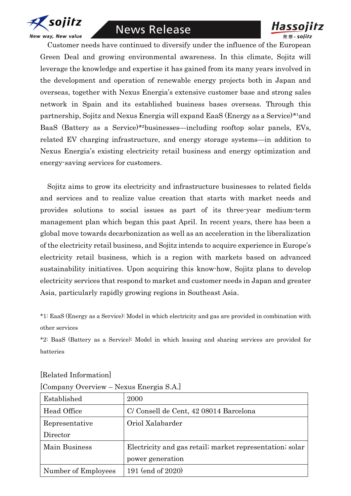

## **News Release**



Customer needs have continued to diversify under the influence of the European Green Deal and growing environmental awareness. In this climate, Sojitz will leverage the knowledge and expertise it has gained from its many years involved in the development and operation of renewable energy projects both in Japan and overseas, together with Nexus Energia's extensive customer base and strong sales network in Spain and its established business bases overseas. Through this partnership, Sojitz and Nexus Energia will expand EaaS (Energy as a Service)\*<sup>1</sup>and BaaS (Battery as a Service)\*²businesses—including rooftop solar panels, EVs, related EV charging infrastructure, and energy storage systems—in addition to Nexus Energia's existing electricity retail business and energy optimization and energy-saving services for customers.

Sojitz aims to grow its electricity and infrastructure businesses to related fields and services and to realize value creation that starts with market needs and provides solutions to social issues as part of its three-year medium-term management plan which began this past April. In recent years, there has been a global move towards decarbonization as well as an acceleration in the liberalization of the electricity retail business, and Sojitz intends to acquire experience in Europe's electricity retail business, which is a region with markets based on advanced sustainability initiatives. Upon acquiring this know-how, Sojitz plans to develop electricity services that respond to market and customer needs in Japan and greater Asia, particularly rapidly growing regions in Southeast Asia.

\*1: EaaS (Energy as a Service): Model in which electricity and gas are provided in combination with other services

\*2: BaaS (Battery as a Service): Model in which leasing and sharing services are provided for batteries

| [Company Overview - Nexus Energia S.A.] |                                                          |
|-----------------------------------------|----------------------------------------------------------|
| Established                             | 2000                                                     |
| Head Office                             | C/ Consell de Cent, 42 08014 Barcelona                   |
| Representative                          | Oriol Xalabarder                                         |
| Director                                |                                                          |
| Main Business                           | Electricity and gas retail; market representation; solar |
|                                         | power generation                                         |
| Number of Employees                     | 191 (end of 2020)                                        |

## [Related Information]